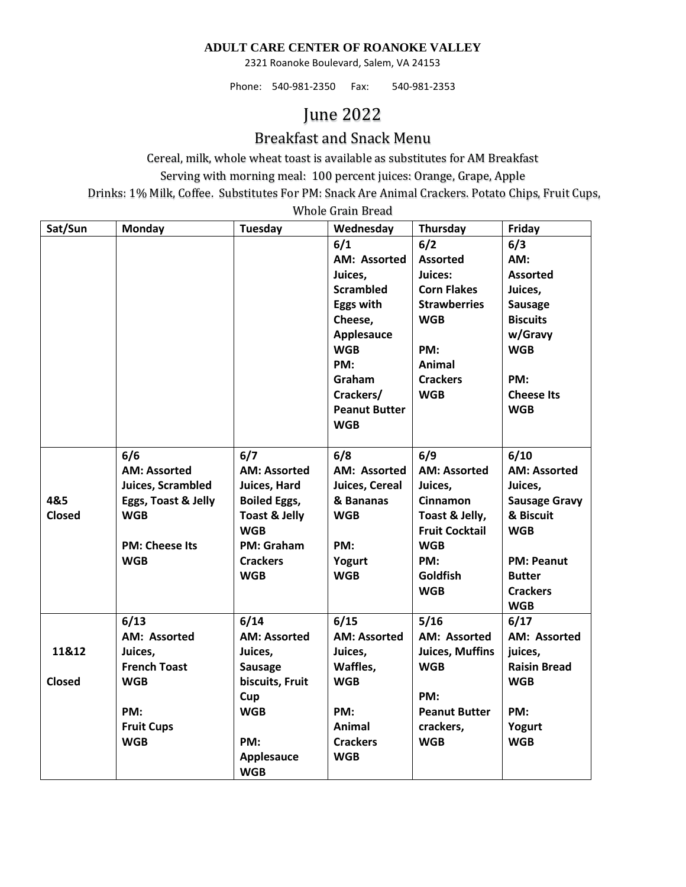## **ADULT CARE CENTER OF ROANOKE VALLEY**

2321 Roanoke Boulevard, Salem, VA 24153

Phone: 540-981-2350 Fax: 540-981-2353

## June 2022

## Breakfast and Snack Menu

Cereal, milk, whole wheat toast is available as substitutes for AM Breakfast Serving with morning meal: 100 percent juices: Orange, Grape, Apple Drinks: 1% Milk, Coffee. Substitutes For PM: Snack Are Animal Crackers. Potato Chips, Fruit Cups,

Whole Grain Bread **Sat/Sun Monday Tuesday Wednesday Thursday Friday 6/1 AM: Assorted Juices, Scrambled Eggs with Cheese, Applesauce WGB PM: Graham Crackers/ Peanut Butter WGB 6/2 Assorted Juices: Corn Flakes Strawberries WGB PM: Animal Crackers WGB 6/3 AM: Assorted Juices, Sausage Biscuits w/Gravy WGB PM: Cheese Its WGB 4&5 Closed 6/6 AM: Assorted Juices, Scrambled Eggs, Toast & Jelly WGB PM: Cheese Its WGB 6/7 AM: Assorted Juices, Hard Boiled Eggs, Toast & Jelly WGB PM: Graham Crackers WGB 6/8 AM: Assorted Juices, Cereal & Bananas WGB PM: Yogurt WGB 6/9 AM: Assorted Juices, Cinnamon Toast & Jelly, Fruit Cocktail WGB PM: Goldfish WGB 6/10 AM: Assorted Juices, Sausage Gravy & Biscuit WGB PM: Peanut Butter Crackers WGB 11&12 Closed 6/13 AM: Assorted Juices, French Toast WGB PM: Fruit Cups WGB 6/14 AM: Assorted Juices, Sausage biscuits, Fruit Cup WGB PM: Applesauce WGB 6/15 AM: Assorted Juices, Waffles, WGB PM: Animal Crackers WGB 5/16 AM: Assorted Juices, Muffins WGB PM: Peanut Butter crackers, WGB 6/17 AM: Assorted juices, Raisin Bread WGB PM: Yogurt WGB**